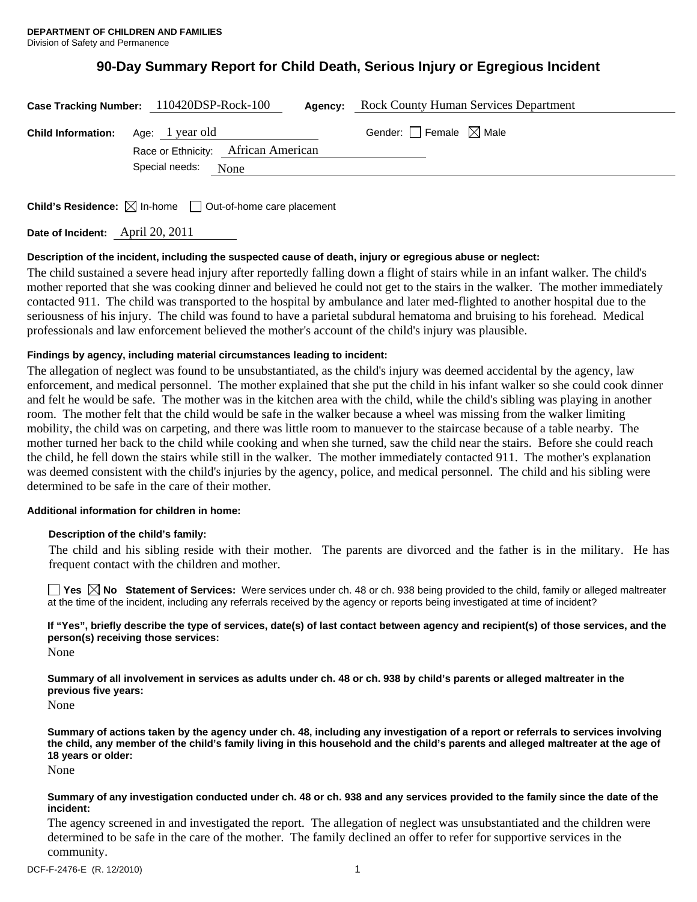# **90-Day Summary Report for Child Death, Serious Injury or Egregious Incident**

|                                           | Case Tracking Number: 110420DSP-Rock-100 | Agency: | <b>Rock County Human Services Department</b> |  |
|-------------------------------------------|------------------------------------------|---------|----------------------------------------------|--|
| <b>Child Information:</b> Age: 1 year old | Race or Ethnicity: African American      |         | Gender: $\Box$ Female $\boxtimes$ Male       |  |
|                                           | Special needs: None                      |         |                                              |  |

**Child's Residence:**  $\boxtimes$  In-home  $\Box$  Out-of-home care placement

**Date of Incident:** April 20, 2011

# **Description of the incident, including the suspected cause of death, injury or egregious abuse or neglect:**

The child sustained a severe head injury after reportedly falling down a flight of stairs while in an infant walker. The child's mother reported that she was cooking dinner and believed he could not get to the stairs in the walker. The mother immediately contacted 911. The child was transported to the hospital by ambulance and later med-flighted to another hospital due to the seriousness of his injury. The child was found to have a parietal subdural hematoma and bruising to his forehead. Medical professionals and law enforcement believed the mother's account of the child's injury was plausible.

# **Findings by agency, including material circumstances leading to incident:**

The allegation of neglect was found to be unsubstantiated, as the child's injury was deemed accidental by the agency, law enforcement, and medical personnel. The mother explained that she put the child in his infant walker so she could cook dinner and felt he would be safe. The mother was in the kitchen area with the child, while the child's sibling was playing in another room. The mother felt that the child would be safe in the walker because a wheel was missing from the walker limiting mobility, the child was on carpeting, and there was little room to manuever to the staircase because of a table nearby. The mother turned her back to the child while cooking and when she turned, saw the child near the stairs. Before she could reach the child, he fell down the stairs while still in the walker. The mother immediately contacted 911. The mother's explanation was deemed consistent with the child's injuries by the agency, police, and medical personnel. The child and his sibling were determined to be safe in the care of their mother.

## **Additional information for children in home:**

## **Description of the child's family:**

The child and his sibling reside with their mother. The parents are divorced and the father is in the military. He has frequent contact with the children and mother.

**Yes No Statement of Services:** Were services under ch. 48 or ch. 938 being provided to the child, family or alleged maltreater at the time of the incident, including any referrals received by the agency or reports being investigated at time of incident?

**If "Yes", briefly describe the type of services, date(s) of last contact between agency and recipient(s) of those services, and the person(s) receiving those services:** 

None

**Summary of all involvement in services as adults under ch. 48 or ch. 938 by child's parents or alleged maltreater in the previous five years:** 

None

**Summary of actions taken by the agency under ch. 48, including any investigation of a report or referrals to services involving the child, any member of the child's family living in this household and the child's parents and alleged maltreater at the age of 18 years or older:** 

None

#### **Summary of any investigation conducted under ch. 48 or ch. 938 and any services provided to the family since the date of the incident:**

The agency screened in and investigated the report. The allegation of neglect was unsubstantiated and the children were determined to be safe in the care of the mother. The family declined an offer to refer for supportive services in the community.